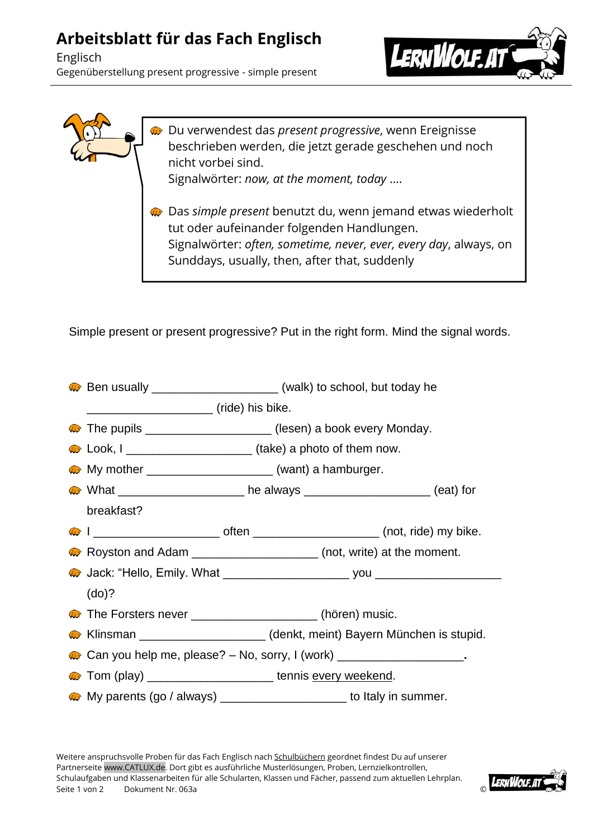## **Arbeitsblatt für das Fach Englisch**

Englisch Gegenüberstellung present progressive - simple present





Simple present or present progressive? Put in the right form. Mind the signal words.

|                                                                                  | $\bigoplus$ Ben usually __________________________ (walk) to school, but today he                             |  |
|----------------------------------------------------------------------------------|---------------------------------------------------------------------------------------------------------------|--|
|                                                                                  |                                                                                                               |  |
|                                                                                  | <b>Co</b> The pupils __________________________(lesen) a book every Monday.                                   |  |
|                                                                                  |                                                                                                               |  |
|                                                                                  | We My mother ________________________ (want) a hamburger.                                                     |  |
|                                                                                  | « What _______________________ he always _____________________ (eat) for                                      |  |
| breakfast?                                                                       |                                                                                                               |  |
|                                                                                  | <b>A</b> I <u>Accelerance Contract Contact</u> Often <u>All Contact Contact Contact (not, ride</u> ) my bike. |  |
|                                                                                  | <b>Co</b> Royston and Adam <u>entitled according</u> (not, write) at the moment.                              |  |
|                                                                                  |                                                                                                               |  |
| (do)?                                                                            |                                                                                                               |  |
|                                                                                  | The Forsters never ______________________(hören) music.                                                       |  |
|                                                                                  | Genkt, meint) Bayern München is stupid.                                                                       |  |
| $\omega$ Can you help me, please? – No, sorry, I (work) _______________________. |                                                                                                               |  |
|                                                                                  | Tom (play) _____________________________ tennis every weekend.                                                |  |
|                                                                                  | $\omega$ My parents (go / always) ______________________ to Italy in summer.                                  |  |